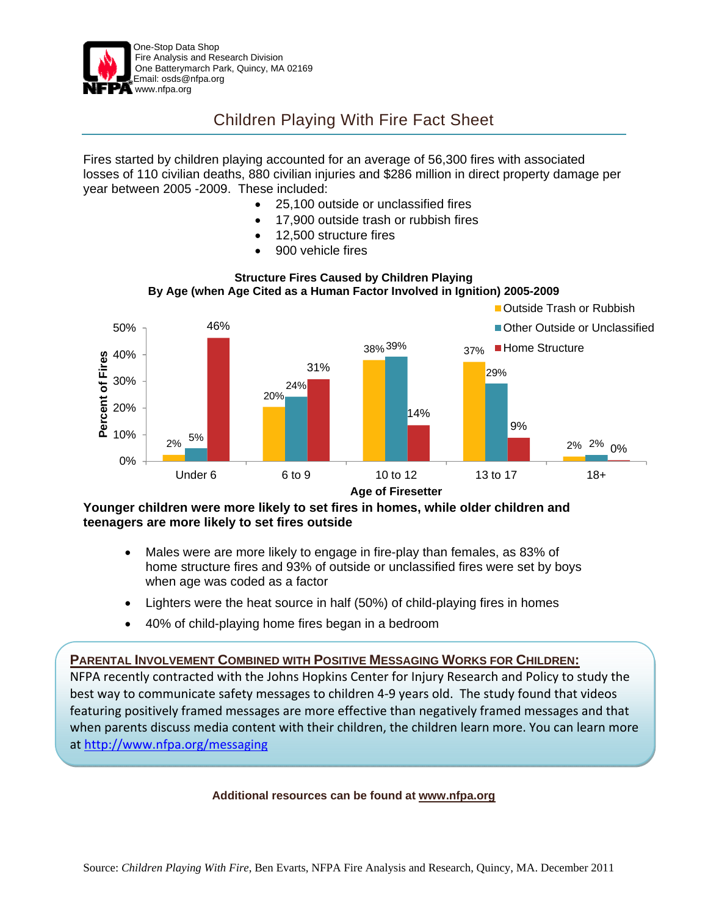

## Children Playing With Fire Fact Sheet

Fires started by children playing accounted for an average of 56,300 fires with associated losses of 110 civilian deaths, 880 civilian injuries and \$286 million in direct property damage per year between 2005 -2009. These included:

- 25,100 outside or unclassified fires
- 17,900 outside trash or rubbish fires
- 12,500 structure fires
- 900 vehicle fires



## **Structure Fires Caused by Children Playing By Age (when Age Cited as a Human Factor Involved in Ignition) 2005-2009**

**Younger children were more likely to set fires in homes, while older children and teenagers are more likely to set fires outside** 

- Males were are more likely to engage in fire-play than females, as 83% of home structure fires and 93% of outside or unclassified fires were set by boys when age was coded as a factor
- Lighters were the heat source in half (50%) of child-playing fires in homes
- 40% of child-playing home fires began in a bedroom

## **PARENTAL INVOLVEMENT COMBINED WITH POSITIVE MESSAGING WORKS FOR CHILDREN:**

NFPA recently contracted with the Johns Hopkins Center for Injury Research and Policy to study the best way to communicate safety messages to children 4‐9 years old. The study found that videos featuring positively framed messages are more effective than negatively framed messages and that when parents discuss media content with their children, the children learn more. You can learn more at http://www.nfpa.org/messaging

## **Additional resources can be found at www.nfpa.org**